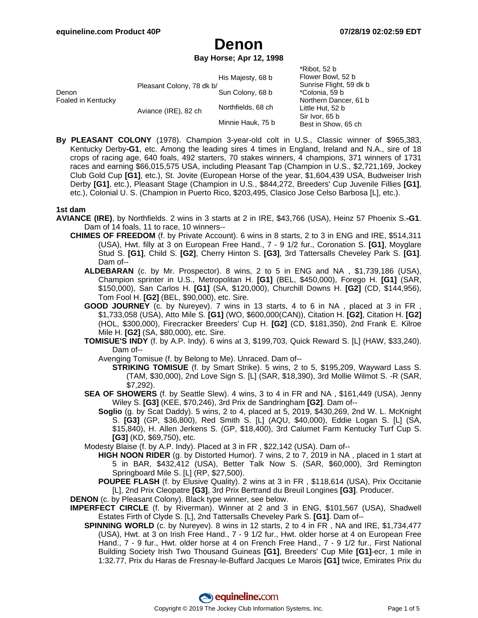$*Dihot$ ,  $52 h$ 

# **Denon**

**Bay Horse; Apr 12, 1998**

|                             |                           |                    | NIUVI. JZ U                           |
|-----------------------------|---------------------------|--------------------|---------------------------------------|
| Denon<br>Foaled in Kentucky |                           | His Majesty, 68 b  | Flower Bowl, 52 b                     |
|                             | Pleasant Colony, 78 dk b/ |                    | Sunrise Flight, 59 dk b               |
|                             |                           | Sun Colony, 68 b   | *Colonia, 59 b                        |
|                             | Aviance (IRE), 82 ch      |                    | Northern Dancer, 61 b                 |
|                             |                           | Northfields, 68 ch | Little Hut, 52 b                      |
|                             |                           |                    | Sir Ivor, 65 b<br>Best in Show, 65 ch |
|                             |                           | Minnie Hauk, 75 b  |                                       |
|                             |                           |                    |                                       |

**By PLEASANT COLONY** (1978). Champion 3-year-old colt in U.S., Classic winner of \$965,383, Kentucky Derby**-G1**, etc. Among the leading sires 4 times in England, Ireland and N.A., sire of 18 crops of racing age, 640 foals, 492 starters, 70 stakes winners, 4 champions, 371 winners of 1731 races and earning \$66,015,575 USA, including Pleasant Tap (Champion in U.S., \$2,721,169, Jockey Club Gold Cup **[G1]**, etc.), St. Jovite (European Horse of the year, \$1,604,439 USA, Budweiser Irish Derby **[G1]**, etc.), Pleasant Stage (Champion in U.S., \$844,272, Breeders' Cup Juvenile Fillies **[G1]**, etc.), Colonial U. S. (Champion in Puerto Rico, \$203,495, Clasico Jose Celso Barbosa [L], etc.).

#### **1st dam**

- **AVIANCE (IRE)**, by Northfields. 2 wins in 3 starts at 2 in IRE, \$43,766 (USA), Heinz 57 Phoenix S.**-G1**. Dam of 14 foals, 11 to race, 10 winners--
	- **CHIMES OF FREEDOM** (f. by Private Account). 6 wins in 8 starts, 2 to 3 in ENG and IRE, \$514,311 (USA), Hwt. filly at 3 on European Free Hand., 7 - 9 1/2 fur., Coronation S. **[G1]**, Moyglare Stud S. **[G1]**, Child S. **[G2]**, Cherry Hinton S. **[G3]**, 3rd Tattersalls Cheveley Park S. **[G1]**. Dam of--
		- **ALDEBARAN** (c. by Mr. Prospector). 8 wins, 2 to 5 in ENG and NA , \$1,739,186 (USA), Champion sprinter in U.S., Metropolitan H. **[G1]** (BEL, \$450,000), Forego H. **[G1]** (SAR, \$150,000), San Carlos H. **[G1]** (SA, \$120,000), Churchill Downs H. **[G2]** (CD, \$144,956), Tom Fool H. **[G2]** (BEL, \$90,000), etc. Sire.
		- **GOOD JOURNEY** (c. by Nureyev). 7 wins in 13 starts, 4 to 6 in NA , placed at 3 in FR , \$1,733,058 (USA), Atto Mile S. **[G1]** (WO, \$600,000(CAN)), Citation H. **[G2]**, Citation H. **[G2]** (HOL, \$300,000), Firecracker Breeders' Cup H. **[G2]** (CD, \$181,350), 2nd Frank E. Kilroe Mile H. **[G2]** (SA, \$80,000), etc. Sire.
		- **TOMISUE'S INDY** (f. by A.P. Indy). 6 wins at 3, \$199,703, Quick Reward S. [L] (HAW, \$33,240). Dam of--
			- Avenging Tomisue (f. by Belong to Me). Unraced. Dam of--
				- **STRIKING TOMISUE** (f. by Smart Strike). 5 wins, 2 to 5, \$195,209, Wayward Lass S. (TAM, \$30,000), 2nd Love Sign S. [L] (SAR, \$18,390), 3rd Mollie Wilmot S. -R (SAR, \$7,292).
		- **SEA OF SHOWERS** (f. by Seattle Slew). 4 wins, 3 to 4 in FR and NA , \$161,449 (USA), Jenny Wiley S. **[G3]** (KEE, \$70,246), 3rd Prix de Sandringham **[G2]**. Dam of--
			- **Soglio** (g. by Scat Daddy). 5 wins, 2 to 4, placed at 5, 2019, \$430,269, 2nd W. L. McKnight S. **[G3]** (GP, \$36,800), Red Smith S. [L] (AQU, \$40,000), Eddie Logan S. [L] (SA, \$15,840), H. Allen Jerkens S. (GP, \$18,400), 3rd Calumet Farm Kentucky Turf Cup S. **[G3]** (KD, \$69,750), etc.
		- Modesty Blaise (f. by A.P. Indy). Placed at 3 in FR , \$22,142 (USA). Dam of--
			- **HIGH NOON RIDER** (g. by Distorted Humor). 7 wins, 2 to 7, 2019 in NA , placed in 1 start at 5 in BAR, \$432,412 (USA), Better Talk Now S. (SAR, \$60,000), 3rd Remington Springboard Mile S. [L] (RP, \$27,500).
			- **POUPEE FLASH** (f. by Elusive Quality). 2 wins at 3 in FR , \$118,614 (USA), Prix Occitanie [L], 2nd Prix Cleopatre **[G3]**, 3rd Prix Bertrand du Breuil Longines **[G3]**. Producer.
	- **DENON** (c. by Pleasant Colony). Black type winner, see below.
	- **IMPERFECT CIRCLE** (f. by Riverman). Winner at 2 and 3 in ENG, \$101,567 (USA), Shadwell Estates Firth of Clyde S. [L], 2nd Tattersalls Cheveley Park S. **[G1]**. Dam of--
		- **SPINNING WORLD** (c. by Nureyev). 8 wins in 12 starts, 2 to 4 in FR , NA and IRE, \$1,734,477 (USA), Hwt. at 3 on Irish Free Hand., 7 - 9 1/2 fur., Hwt. older horse at 4 on European Free Hand., 7 - 9 fur., Hwt. older horse at 4 on French Free Hand., 7 - 9 1/2 fur., First National Building Society Irish Two Thousand Guineas **[G1]**, Breeders' Cup Mile **[G1]**-ecr, 1 mile in 1:32.77, Prix du Haras de Fresnay-le-Buffard Jacques Le Marois **[G1]** twice, Emirates Prix du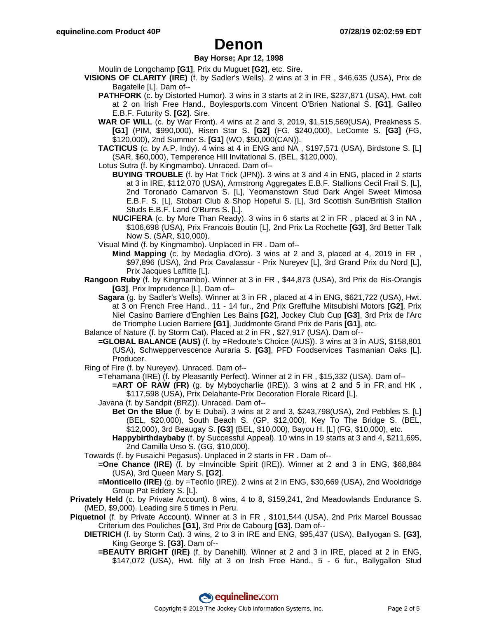#### **Bay Horse; Apr 12, 1998**

Moulin de Longchamp **[G1]**, Prix du Muguet **[G2]**, etc. Sire.

- **VISIONS OF CLARITY (IRE)** (f. by Sadler's Wells). 2 wins at 3 in FR , \$46,635 (USA), Prix de Bagatelle [L]. Dam of--
	- **PATHFORK** (c. by Distorted Humor). 3 wins in 3 starts at 2 in IRE, \$237,871 (USA), Hwt. colt at 2 on Irish Free Hand., Boylesports.com Vincent O'Brien National S. **[G1]**, Galileo E.B.F. Futurity S. **[G2]**. Sire.
	- **WAR OF WILL** (c. by War Front). 4 wins at 2 and 3, 2019, \$1,515,569(USA), Preakness S. **[G1]** (PIM, \$990,000), Risen Star S. **[G2]** (FG, \$240,000), LeComte S. **[G3]** (FG, \$120,000), 2nd Summer S. **[G1]** (WO, \$50,000(CAN)).
	- **TACTICUS** (c. by A.P. Indy). 4 wins at 4 in ENG and NA, \$197,571 (USA), Birdstone S. [L] (SAR, \$60,000), Temperence Hill Invitational S. (BEL, \$120,000).
	- Lotus Sutra (f. by Kingmambo). Unraced. Dam of--
		- **BUYING TROUBLE** (f. by Hat Trick (JPN)). 3 wins at 3 and 4 in ENG, placed in 2 starts at 3 in IRE, \$112,070 (USA), Armstrong Aggregates E.B.F. Stallions Cecil Frail S. [L], 2nd Toronado Carnarvon S. [L], Yeomanstown Stud Dark Angel Sweet Mimosa E.B.F. S. [L], Stobart Club & Shop Hopeful S. [L], 3rd Scottish Sun/British Stallion Studs E.B.F. Land O'Burns S. [L].
		- **NUCIFERA** (c. by More Than Ready). 3 wins in 6 starts at 2 in FR , placed at 3 in NA , \$106,698 (USA), Prix Francois Boutin [L], 2nd Prix La Rochette **[G3]**, 3rd Better Talk Now S. (SAR, \$10,000).
	- Visual Mind (f. by Kingmambo). Unplaced in FR . Dam of--
		- **Mind Mapping** (c. by Medaglia d'Oro). 3 wins at 2 and 3, placed at 4, 2019 in FR , \$97,896 (USA), 2nd Prix Cavalassur - Prix Nureyev [L], 3rd Grand Prix du Nord [L], Prix Jacques Laffitte [L].
- **Rangoon Ruby** (f. by Kingmambo). Winner at 3 in FR , \$44,873 (USA), 3rd Prix de Ris-Orangis **[G3]**, Prix Imprudence [L]. Dam of--
	- **Sagara** (g. by Sadler's Wells). Winner at 3 in FR , placed at 4 in ENG, \$621,722 (USA), Hwt. at 3 on French Free Hand., 11 - 14 fur., 2nd Prix Greffulhe Mitsubishi Motors **[G2]**, Prix Niel Casino Barriere d'Enghien Les Bains **[G2]**, Jockey Club Cup **[G3]**, 3rd Prix de l'Arc de Triomphe Lucien Barriere **[G1]**, Juddmonte Grand Prix de Paris **[G1]**, etc.
- Balance of Nature (f. by Storm Cat). Placed at 2 in FR , \$27,917 (USA). Dam of--
	- **=GLOBAL BALANCE (AUS)** (f. by =Redoute's Choice (AUS)). 3 wins at 3 in AUS, \$158,801 (USA), Schweppervescence Auraria S. **[G3]**, PFD Foodservices Tasmanian Oaks [L]. Producer.
- Ring of Fire (f. by Nureyev). Unraced. Dam of--
	- =Tehamana (IRE) (f. by Pleasantly Perfect). Winner at 2 in FR , \$15,332 (USA). Dam of--
		- **=ART OF RAW (FR)** (g. by Myboycharlie (IRE)). 3 wins at 2 and 5 in FR and HK, \$117,598 (USA), Prix Delahante-Prix Decoration Florale Ricard [L].
	- Javana (f. by Sandpit (BRZ)). Unraced. Dam of--
		- **Bet On the Blue** (f. by E Dubai). 3 wins at 2 and 3, \$243,798(USA), 2nd Pebbles S. [L] (BEL, \$20,000), South Beach S. (GP, \$12,000), Key To The Bridge S. (BEL, \$12,000), 3rd Beaugay S. **[G3]** (BEL, \$10,000), Bayou H. [L] (FG, \$10,000), etc.
		- **Happybirthdaybaby** (f. by Successful Appeal). 10 wins in 19 starts at 3 and 4, \$211,695, 2nd Camilla Urso S. (GG, \$10,000).
- Towards (f. by Fusaichi Pegasus). Unplaced in 2 starts in FR . Dam of--
	- **=One Chance (IRE)** (f. by =Invincible Spirit (IRE)). Winner at 2 and 3 in ENG, \$68,884 (USA), 3rd Queen Mary S. **[G2]**.
	- **=Monticello (IRE)** (g. by =Teofilo (IRE)). 2 wins at 2 in ENG, \$30,669 (USA), 2nd Wooldridge Group Pat Eddery S. [L].

**Privately Held** (c. by Private Account). 8 wins, 4 to 8, \$159,241, 2nd Meadowlands Endurance S. (MED, \$9,000). Leading sire 5 times in Peru.

- **Piquetnol** (f. by Private Account). Winner at 3 in FR , \$101,544 (USA), 2nd Prix Marcel Boussac Criterium des Pouliches **[G1]**, 3rd Prix de Cabourg **[G3]**. Dam of--
	- **DIETRICH** (f. by Storm Cat). 3 wins, 2 to 3 in IRE and ENG, \$95,437 (USA), Ballyogan S. **[G3]**, King George S. **[G3]**. Dam of--
		- **=BEAUTY BRIGHT (IRE)** (f. by Danehill). Winner at 2 and 3 in IRE, placed at 2 in ENG, \$147,072 (USA), Hwt. filly at 3 on Irish Free Hand., 5 - 6 fur., Ballygallon Stud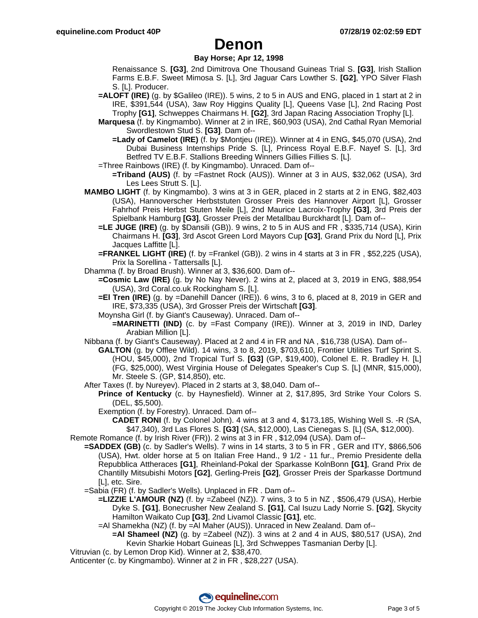#### **Bay Horse; Apr 12, 1998**

Renaissance S. **[G3]**, 2nd Dimitrova One Thousand Guineas Trial S. **[G3]**, Irish Stallion Farms E.B.F. Sweet Mimosa S. [L], 3rd Jaguar Cars Lowther S. **[G2]**, YPO Silver Flash S. [L]. Producer.

- **=ALOFT (IRE)** (g. by \$Galileo (IRE)). 5 wins, 2 to 5 in AUS and ENG, placed in 1 start at 2 in IRE, \$391,544 (USA), 3aw Roy Higgins Quality [L], Queens Vase [L], 2nd Racing Post Trophy **[G1]**, Schweppes Chairmans H. **[G2]**, 3rd Japan Racing Association Trophy [L].
- **Marquesa** (f. by Kingmambo). Winner at 2 in IRE, \$60,903 (USA), 2nd Cathal Ryan Memorial Swordlestown Stud S. **[G3]**. Dam of--
	- **=Lady of Camelot (IRE)** (f. by \$Montjeu (IRE)). Winner at 4 in ENG, \$45,070 (USA), 2nd Dubai Business Internships Pride S. [L], Princess Royal E.B.F. Nayef S. [L], 3rd Betfred TV E.B.F. Stallions Breeding Winners Gillies Fillies S. [L].
- =Three Rainbows (IRE) (f. by Kingmambo). Unraced. Dam of--
- **=Triband (AUS)** (f. by =Fastnet Rock (AUS)). Winner at 3 in AUS, \$32,062 (USA), 3rd Les Lees Strutt S. [L].
- **MAMBO LIGHT** (f. by Kingmambo). 3 wins at 3 in GER, placed in 2 starts at 2 in ENG, \$82,403 (USA), Hannoverscher Herbststuten Grosser Preis des Hannover Airport [L], Grosser Fahrhof Preis Herbst Stuten Meile [L], 2nd Maurice Lacroix-Trophy **[G3]**, 3rd Preis der Spielbank Hamburg **[G3]**, Grosser Preis der Metallbau Burckhardt [L]. Dam of--
	- **=LE JUGE (IRE)** (g. by \$Dansili (GB)). 9 wins, 2 to 5 in AUS and FR , \$335,714 (USA), Kirin Chairmans H. **[G3]**, 3rd Ascot Green Lord Mayors Cup **[G3]**, Grand Prix du Nord [L], Prix Jacques Laffitte [L].
	- **=FRANKEL LIGHT (IRE)** (f. by =Frankel (GB)). 2 wins in 4 starts at 3 in FR , \$52,225 (USA), Prix la Sorellina - Tattersalls [L].
- Dhamma (f. by Broad Brush). Winner at 3, \$36,600. Dam of--
	- **=Cosmic Law (IRE)** (g. by No Nay Never). 2 wins at 2, placed at 3, 2019 in ENG, \$88,954 (USA), 3rd Coral.co.uk Rockingham S. [L].
	- **=El Tren (IRE)** (g. by =Danehill Dancer (IRE)). 6 wins, 3 to 6, placed at 8, 2019 in GER and IRE, \$73,335 (USA), 3rd Grosser Preis der Wirtschaft **[G3]**.
	- Moynsha Girl (f. by Giant's Causeway). Unraced. Dam of--
		- **=MARINETTI (IND)** (c. by =Fast Company (IRE)). Winner at 3, 2019 in IND, Darley Arabian Million [L].
- Nibbana (f. by Giant's Causeway). Placed at 2 and 4 in FR and NA , \$16,738 (USA). Dam of--

**GALTON** (g. by Offlee Wild). 14 wins, 3 to 8, 2019, \$703,610, Frontier Utilities Turf Sprint S. (HOU, \$45,000), 2nd Tropical Turf S. **[G3]** (GP, \$19,400), Colonel E. R. Bradley H. [L] (FG, \$25,000), West Virginia House of Delegates Speaker's Cup S. [L] (MNR, \$15,000), Mr. Steele S. (GP, \$14,850), etc.

- After Taxes (f. by Nureyev). Placed in 2 starts at 3, \$8,040. Dam of--
	- **Prince of Kentucky** (c. by Haynesfield). Winner at 2, \$17,895, 3rd Strike Your Colors S. (DEL, \$5,500).
		- Exemption (f. by Forestry). Unraced. Dam of--

**CADET RONI** (f. by Colonel John). 4 wins at 3 and 4, \$173,185, Wishing Well S. -R (SA, \$47,340), 3rd Las Flores S. **[G3]** (SA, \$12,000), Las Cienegas S. [L] (SA, \$12,000).

- Remote Romance (f. by Irish River (FR)). 2 wins at 3 in FR , \$12,094 (USA). Dam of--
	- **=SADDEX (GB)** (c. by Sadler's Wells). 7 wins in 14 starts, 3 to 5 in FR , GER and ITY, \$866,506 (USA), Hwt. older horse at 5 on Italian Free Hand., 9 1/2 - 11 fur., Premio Presidente della Repubblica Attheraces **[G1]**, Rheinland-Pokal der Sparkasse KolnBonn **[G1]**, Grand Prix de Chantilly Mitsubishi Motors **[G2]**, Gerling-Preis **[G2]**, Grosser Preis der Sparkasse Dortmund [L], etc. Sire.
		- =Sabia (FR) (f. by Sadler's Wells). Unplaced in FR . Dam of--
			- **=LIZZIE L'AMOUR (NZ)** (f. by =Zabeel (NZ)). 7 wins, 3 to 5 in NZ , \$506,479 (USA), Herbie Dyke S. **[G1]**, Bonecrusher New Zealand S. **[G1]**, Cal Isuzu Lady Norrie S. **[G2]**, Skycity Hamilton Waikato Cup **[G3]**, 2nd Livamol Classic **[G1]**, etc.
			- =Al Shamekha (NZ) (f. by =Al Maher (AUS)). Unraced in New Zealand. Dam of--
				- **=Al Shameel (NZ)** (g. by =Zabeel (NZ)). 3 wins at 2 and 4 in AUS, \$80,517 (USA), 2nd Kevin Sharkie Hobart Guineas [L], 3rd Schweppes Tasmanian Derby [L].
- Vitruvian (c. by Lemon Drop Kid). Winner at 2, \$38,470.

Anticenter (c. by Kingmambo). Winner at 2 in FR , \$28,227 (USA).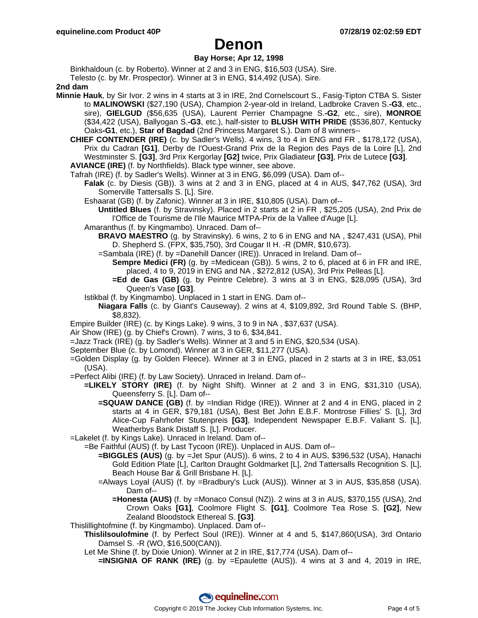### **Bay Horse; Apr 12, 1998**

Binkhaldoun (c. by Roberto). Winner at 2 and 3 in ENG, \$16,503 (USA). Sire. Telesto (c. by Mr. Prospector). Winner at 3 in ENG, \$14,492 (USA). Sire.

**2nd dam**

- **Minnie Hauk**, by Sir Ivor. 2 wins in 4 starts at 3 in IRE, 2nd Cornelscourt S., Fasig-Tipton CTBA S. Sister to **MALINOWSKI** (\$27,190 (USA), Champion 2-year-old in Ireland, Ladbroke Craven S.**-G3**, etc., sire), **GIELGUD** (\$56,635 (USA), Laurent Perrier Champagne S.**-G2**, etc., sire), **MONROE** (\$34,422 (USA), Ballyogan S.**-G3**, etc.), half-sister to **BLUSH WITH PRIDE** (\$536,807, Kentucky Oaks**-G1**, etc.), **Star of Bagdad** (2nd Princess Margaret S.). Dam of 8 winners--
	- **CHIEF CONTENDER (IRE)** (c. by Sadler's Wells). 4 wins, 3 to 4 in ENG and FR , \$178,172 (USA), Prix du Cadran **[G1]**, Derby de l'Ouest-Grand Prix de la Region des Pays de la Loire [L], 2nd Westminster S. **[G3]**, 3rd Prix Kergorlay **[G2]** twice, Prix Gladiateur **[G3]**, Prix de Lutece **[G3]**.

**AVIANCE (IRE)** (f. by Northfields). Black type winner, see above.

- Tafrah (IRE) (f. by Sadler's Wells). Winner at 3 in ENG, \$6,099 (USA). Dam of--
	- **Falak** (c. by Diesis (GB)). 3 wins at 2 and 3 in ENG, placed at 4 in AUS, \$47,762 (USA), 3rd Somerville Tattersalls S. [L]. Sire.
		- Eshaarat (GB) (f. by Zafonic). Winner at 3 in IRE, \$10,805 (USA). Dam of--
			- **Untitled Blues** (f. by Stravinsky). Placed in 2 starts at 2 in FR , \$25,205 (USA), 2nd Prix de l'Office de Tourisme de l'Ile Maurice MTPA-Prix de la Vallee d'Auge [L].
		- Amaranthus (f. by Kingmambo). Unraced. Dam of--
			- **BRAVO MAESTRO** (g. by Stravinsky). 6 wins, 2 to 6 in ENG and NA , \$247,431 (USA), Phil D. Shepherd S. (FPX, \$35,750), 3rd Cougar II H. -R (DMR, \$10,673).
			- =Sambala (IRE) (f. by =Danehill Dancer (IRE)). Unraced in Ireland. Dam of--
				- **Sempre Medici (FR)** (g. by =Medicean (GB)). 5 wins, 2 to 6, placed at 6 in FR and IRE, placed, 4 to 9, 2019 in ENG and NA , \$272,812 (USA), 3rd Prix Pelleas [L].
				- **=Ed de Gas (GB)** (g. by Peintre Celebre). 3 wins at 3 in ENG, \$28,095 (USA), 3rd Queen's Vase **[G3]**.
		- Istikbal (f. by Kingmambo). Unplaced in 1 start in ENG. Dam of--
			- **Niagara Falls** (c. by Giant's Causeway). 2 wins at 4, \$109,892, 3rd Round Table S. (BHP, \$8,832).
- Empire Builder (IRE) (c. by Kings Lake). 9 wins, 3 to 9 in NA , \$37,637 (USA).
- Air Show (IRE) (g. by Chief's Crown). 7 wins, 3 to 6, \$34,841.
- =Jazz Track (IRE) (g. by Sadler's Wells). Winner at 3 and 5 in ENG, \$20,534 (USA).
- September Blue (c. by Lomond). Winner at 3 in GER, \$11,277 (USA).
- =Golden Display (g. by Golden Fleece). Winner at 3 in ENG, placed in 2 starts at 3 in IRE, \$3,051 (USA).
- =Perfect Alibi (IRE) (f. by Law Society). Unraced in Ireland. Dam of--
	- **=LIKELY STORY (IRE)** (f. by Night Shift). Winner at 2 and 3 in ENG, \$31,310 (USA), Queensferry S. [L]. Dam of--
		- **=SQUAW DANCE (GB)** (f. by =Indian Ridge (IRE)). Winner at 2 and 4 in ENG, placed in 2 starts at 4 in GER, \$79,181 (USA), Best Bet John E.B.F. Montrose Fillies' S. [L], 3rd Alice-Cup Fahrhofer Stutenpreis **[G3]**, Independent Newspaper E.B.F. Valiant S. [L], Weatherbys Bank Distaff S. [L]. Producer.

=Lakelet (f. by Kings Lake). Unraced in Ireland. Dam of--

- =Be Faithful (AUS) (f. by Last Tycoon (IRE)). Unplaced in AUS. Dam of--
	- **=BIGGLES (AUS)** (g. by =Jet Spur (AUS)). 6 wins, 2 to 4 in AUS, \$396,532 (USA), Hanachi Gold Edition Plate [L], Carlton Draught Goldmarket [L], 2nd Tattersalls Recognition S. [L], Beach House Bar & Grill Brisbane H. [L].
	- =Always Loyal (AUS) (f. by =Bradbury's Luck (AUS)). Winner at 3 in AUS, \$35,858 (USA). Dam of--
		- **=Honesta (AUS)** (f. by =Monaco Consul (NZ)). 2 wins at 3 in AUS, \$370,155 (USA), 2nd Crown Oaks **[G1]**, Coolmore Flight S. **[G1]**, Coolmore Tea Rose S. **[G2]**, New Zealand Bloodstock Ethereal S. **[G3]**.
- Thislillightofmine (f. by Kingmambo). Unplaced. Dam of--
	- **Thislilsoulofmine** (f. by Perfect Soul (IRE)). Winner at 4 and 5, \$147,860(USA), 3rd Ontario Damsel S. -R (WO, \$16,500(CAN)).
		- Let Me Shine (f. by Dixie Union). Winner at 2 in IRE, \$17,774 (USA). Dam of--
			- **=INSIGNIA OF RANK (IRE)** (g. by =Epaulette (AUS)). 4 wins at 3 and 4, 2019 in IRE,